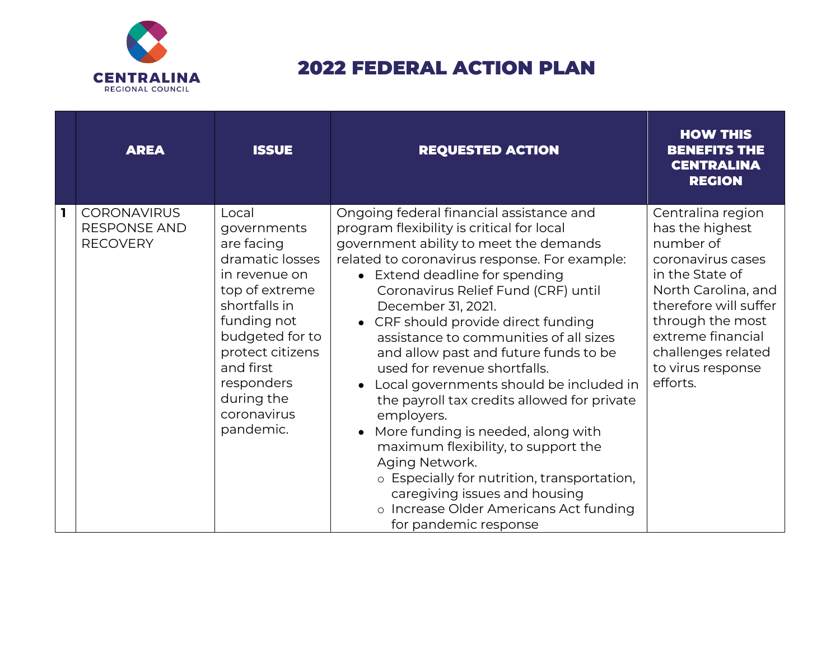

## 2022 FEDERAL ACTION PLAN

|              | <b>AREA</b>                                                  | <b>ISSUE</b>                                                                                                                                                                                                                         | <b>REQUESTED ACTION</b>                                                                                                                                                                                                                                                                                                                                                                                                                                                                                                                                                                                                                                                                                                                                                                                                       | <b>HOW THIS</b><br><b>BENEFITS THE</b><br><b>CENTRALINA</b><br><b>REGION</b>                                                                                                                                                              |
|--------------|--------------------------------------------------------------|--------------------------------------------------------------------------------------------------------------------------------------------------------------------------------------------------------------------------------------|-------------------------------------------------------------------------------------------------------------------------------------------------------------------------------------------------------------------------------------------------------------------------------------------------------------------------------------------------------------------------------------------------------------------------------------------------------------------------------------------------------------------------------------------------------------------------------------------------------------------------------------------------------------------------------------------------------------------------------------------------------------------------------------------------------------------------------|-------------------------------------------------------------------------------------------------------------------------------------------------------------------------------------------------------------------------------------------|
| $\mathbf{I}$ | <b>CORONAVIRUS</b><br><b>RESPONSE AND</b><br><b>RECOVERY</b> | Local<br>governments<br>are facing<br>dramatic losses<br>in revenue on<br>top of extreme<br>shortfalls in<br>funding not<br>budgeted for to<br>protect citizens<br>and first<br>responders<br>during the<br>coronavirus<br>pandemic. | Ongoing federal financial assistance and<br>program flexibility is critical for local<br>government ability to meet the demands<br>related to coronavirus response. For example:<br>• Extend deadline for spending<br>Coronavirus Relief Fund (CRF) until<br>December 31, 2021.<br>• CRF should provide direct funding<br>assistance to communities of all sizes<br>and allow past and future funds to be<br>used for revenue shortfalls.<br>Local governments should be included in<br>$\bullet$<br>the payroll tax credits allowed for private<br>employers.<br>More funding is needed, along with<br>$\bullet$<br>maximum flexibility, to support the<br>Aging Network.<br>o Especially for nutrition, transportation,<br>caregiving issues and housing<br>o Increase Older Americans Act funding<br>for pandemic response | Centralina region<br>has the highest<br>number of<br>coronavirus cases<br>in the State of<br>North Carolina, and<br>therefore will suffer<br>through the most<br>extreme financial<br>challenges related<br>to virus response<br>efforts. |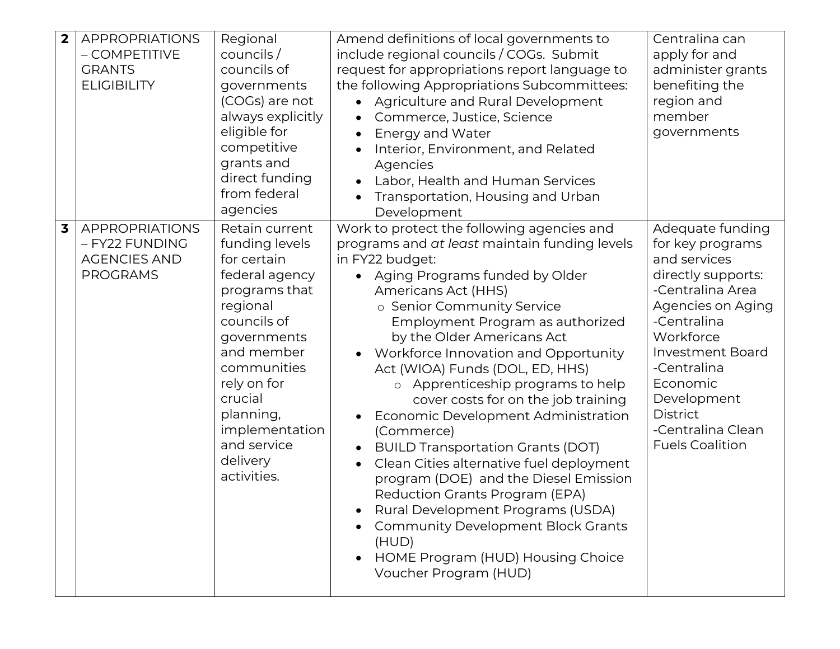| $\overline{\mathbf{2}}$ | <b>APPROPRIATIONS</b><br>- COMPETITIVE<br><b>GRANTS</b><br><b>ELIGIBILITY</b>     | Regional<br>counts/<br>councils of<br>governments<br>(COGs) are not<br>always explicitly<br>eligible for<br>competitive<br>grants and<br>direct funding<br>from federal<br>agencies                                                                          | Amend definitions of local governments to<br>include regional councils / COGs. Submit<br>request for appropriations report language to<br>the following Appropriations Subcommittees:<br>Agriculture and Rural Development<br>Commerce, Justice, Science<br><b>Energy and Water</b><br>$\bullet$<br>Interior, Environment, and Related<br>Agencies<br>Labor, Health and Human Services<br>Transportation, Housing and Urban<br>Development                                                                                                                                                                                                                                                                                                                                                                      | Centralina can<br>apply for and<br>administer grants<br>benefiting the<br>region and<br>member<br>governments                                                                                                                                                                          |
|-------------------------|-----------------------------------------------------------------------------------|--------------------------------------------------------------------------------------------------------------------------------------------------------------------------------------------------------------------------------------------------------------|-----------------------------------------------------------------------------------------------------------------------------------------------------------------------------------------------------------------------------------------------------------------------------------------------------------------------------------------------------------------------------------------------------------------------------------------------------------------------------------------------------------------------------------------------------------------------------------------------------------------------------------------------------------------------------------------------------------------------------------------------------------------------------------------------------------------|----------------------------------------------------------------------------------------------------------------------------------------------------------------------------------------------------------------------------------------------------------------------------------------|
| $\overline{\mathbf{3}}$ | <b>APPROPRIATIONS</b><br>- FY22 FUNDING<br><b>AGENCIES AND</b><br><b>PROGRAMS</b> | Retain current<br>funding levels<br>for certain<br>federal agency<br>programs that<br>regional<br>councils of<br>governments<br>and member<br>communities<br>rely on for<br>crucial<br>planning,<br>implementation<br>and service<br>delivery<br>activities. | Work to protect the following agencies and<br>programs and at least maintain funding levels<br>in FY22 budget:<br>Aging Programs funded by Older<br>Americans Act (HHS)<br>o Senior Community Service<br>Employment Program as authorized<br>by the Older Americans Act<br>Workforce Innovation and Opportunity<br>Act (WIOA) Funds (DOL, ED, HHS)<br>o Apprenticeship programs to help<br>cover costs for on the job training<br>Economic Development Administration<br>(Commerce)<br><b>BUILD Transportation Grants (DOT)</b><br>Clean Cities alternative fuel deployment<br>program (DOE) and the Diesel Emission<br>Reduction Grants Program (EPA)<br>Rural Development Programs (USDA)<br><b>Community Development Block Grants</b><br>(HUD)<br>HOME Program (HUD) Housing Choice<br>Voucher Program (HUD) | Adequate funding<br>for key programs<br>and services<br>directly supports:<br>-Centralina Area<br>Agencies on Aging<br>-Centralina<br>Workforce<br><b>Investment Board</b><br>-Centralina<br>Economic<br>Development<br><b>District</b><br>-Centralina Clean<br><b>Fuels Coalition</b> |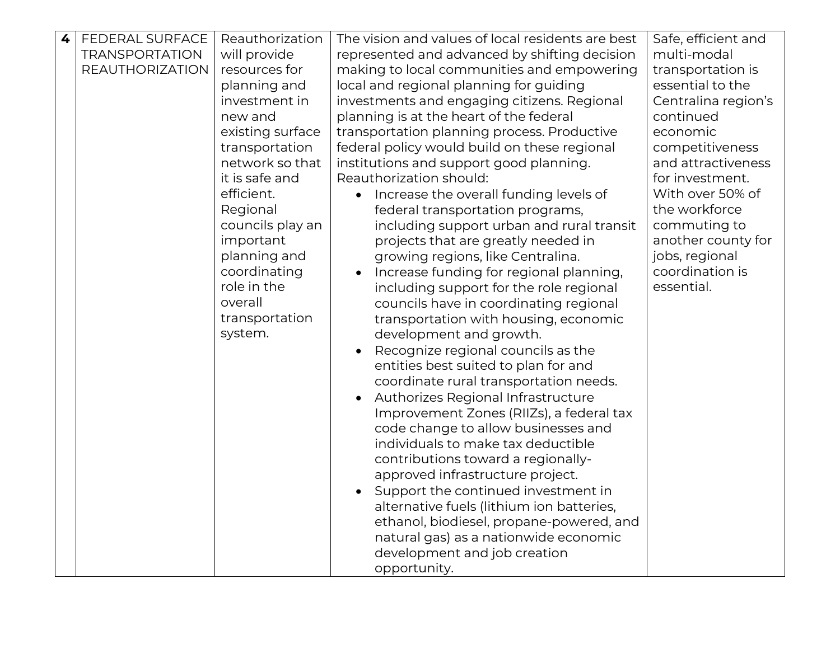| 4 | <b>FEDERAL SURFACE</b> | Reauthorization              | The vision and values of local residents are best | Safe, efficient and |
|---|------------------------|------------------------------|---------------------------------------------------|---------------------|
|   | <b>TRANSPORTATION</b>  | will provide                 | represented and advanced by shifting decision     | multi-modal         |
|   | <b>REAUTHORIZATION</b> | resources for                | making to local communities and empowering        | transportation is   |
|   |                        | planning and                 | local and regional planning for guiding           | essential to the    |
|   |                        | investment in                | investments and engaging citizens. Regional       | Centralina region's |
|   |                        | new and                      | planning is at the heart of the federal           | continued           |
|   |                        | existing surface             | transportation planning process. Productive       | economic            |
|   |                        | transportation               | federal policy would build on these regional      | competitiveness     |
|   |                        | network so that              | institutions and support good planning.           | and attractiveness  |
|   |                        | it is safe and               | Reauthorization should:                           | for investment.     |
|   |                        | efficient.                   |                                                   | With over 50% of    |
|   |                        |                              | Increase the overall funding levels of            | the workforce       |
|   |                        | Regional<br>councils play an | federal transportation programs,                  |                     |
|   |                        |                              | including support urban and rural transit         | commuting to        |
|   |                        | important                    | projects that are greatly needed in               | another county for  |
|   |                        | planning and                 | growing regions, like Centralina.                 | jobs, regional      |
|   |                        | coordinating                 | Increase funding for regional planning,           | coordination is     |
|   |                        | role in the                  | including support for the role regional           | essential.          |
|   |                        | overall                      | councils have in coordinating regional            |                     |
|   |                        | transportation               | transportation with housing, economic             |                     |
|   |                        | system.                      | development and growth.                           |                     |
|   |                        |                              | Recognize regional councils as the                |                     |
|   |                        |                              | entities best suited to plan for and              |                     |
|   |                        |                              | coordinate rural transportation needs.            |                     |
|   |                        |                              | Authorizes Regional Infrastructure                |                     |
|   |                        |                              | Improvement Zones (RIIZs), a federal tax          |                     |
|   |                        |                              | code change to allow businesses and               |                     |
|   |                        |                              | individuals to make tax deductible                |                     |
|   |                        |                              | contributions toward a regionally-                |                     |
|   |                        |                              | approved infrastructure project.                  |                     |
|   |                        |                              | Support the continued investment in               |                     |
|   |                        |                              | alternative fuels (lithium ion batteries,         |                     |
|   |                        |                              | ethanol, biodiesel, propane-powered, and          |                     |
|   |                        |                              | natural gas) as a nationwide economic             |                     |
|   |                        |                              | development and job creation                      |                     |
|   |                        |                              | opportunity.                                      |                     |
|   |                        |                              |                                                   |                     |